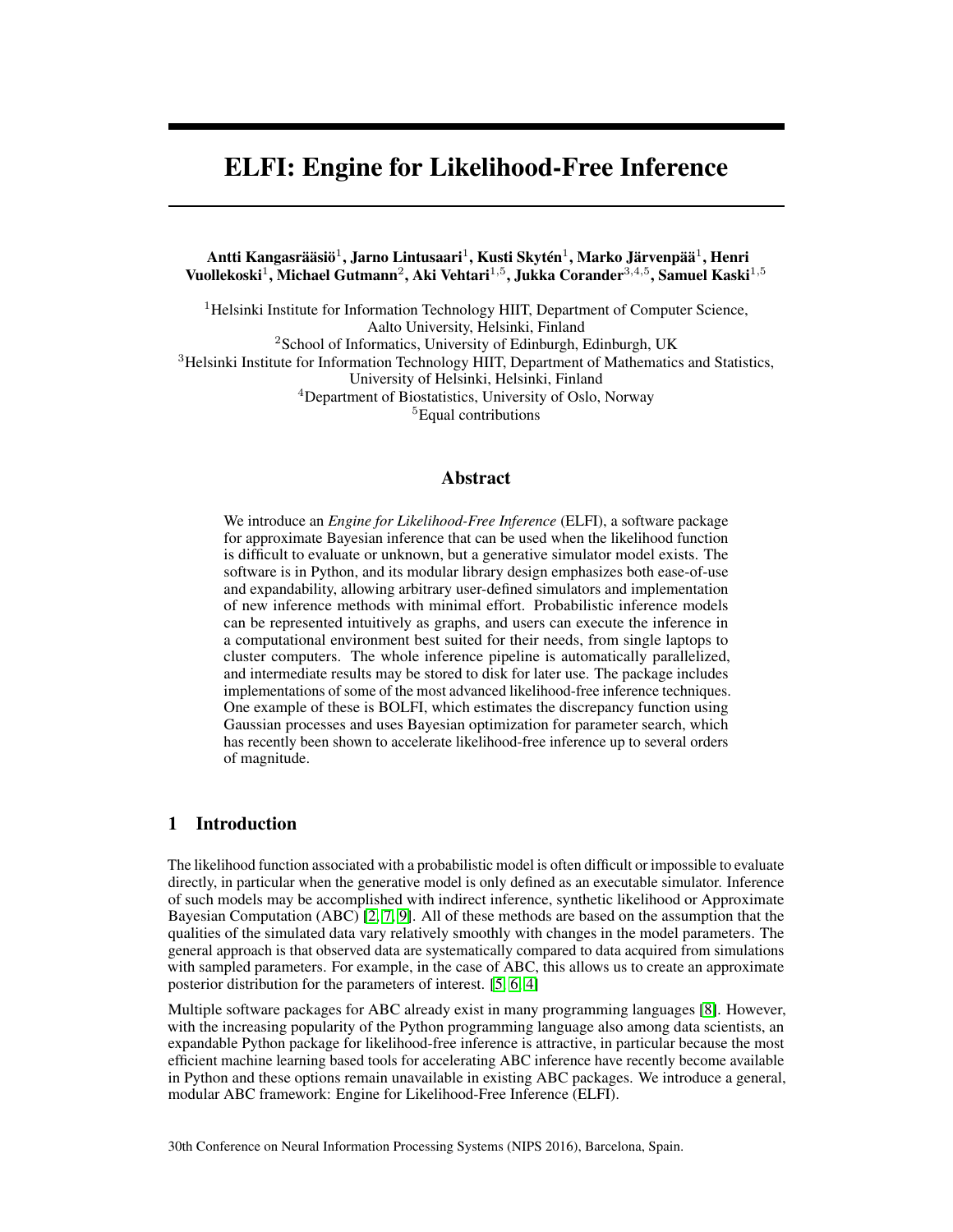# ELFI: Engine for Likelihood-Free Inference

Antti Kangasrääsiö $^1$ , Jarno Lintusaari $^1$ , Kusti Skytén $^1$ , Marko Järvenpää $^1$ , Henri Vuollekoski $^1$ , Michael Gutmann $^2$ , Aki Vehtari $^{1,5}$ , Jukka Corander $^{3,4,5}$ , Samuel Kaski $^{1,5}$ 

<sup>1</sup>Helsinki Institute for Information Technology HIIT, Department of Computer Science, Aalto University, Helsinki, Finland <sup>2</sup>School of Informatics, University of Edinburgh, Edinburgh, UK <sup>3</sup>Helsinki Institute for Information Technology HIIT, Department of Mathematics and Statistics, University of Helsinki, Helsinki, Finland <sup>4</sup>Department of Biostatistics, University of Oslo, Norway <sup>5</sup>Equal contributions

## Abstract

We introduce an *Engine for Likelihood-Free Inference* (ELFI), a software package for approximate Bayesian inference that can be used when the likelihood function is difficult to evaluate or unknown, but a generative simulator model exists. The software is in Python, and its modular library design emphasizes both ease-of-use and expandability, allowing arbitrary user-defined simulators and implementation of new inference methods with minimal effort. Probabilistic inference models can be represented intuitively as graphs, and users can execute the inference in a computational environment best suited for their needs, from single laptops to cluster computers. The whole inference pipeline is automatically parallelized, and intermediate results may be stored to disk for later use. The package includes implementations of some of the most advanced likelihood-free inference techniques. One example of these is BOLFI, which estimates the discrepancy function using Gaussian processes and uses Bayesian optimization for parameter search, which has recently been shown to accelerate likelihood-free inference up to several orders of magnitude.

## 1 Introduction

The likelihood function associated with a probabilistic model is often difficult or impossible to evaluate directly, in particular when the generative model is only defined as an executable simulator. Inference of such models may be accomplished with indirect inference, synthetic likelihood or Approximate Bayesian Computation (ABC) [\[2,](#page-2-0) [7,](#page-3-0) [9\]](#page-3-1). All of these methods are based on the assumption that the qualities of the simulated data vary relatively smoothly with changes in the model parameters. The general approach is that observed data are systematically compared to data acquired from simulations with sampled parameters. For example, in the case of ABC, this allows us to create an approximate posterior distribution for the parameters of interest. [\[5,](#page-2-1) [6,](#page-3-2) [4\]](#page-2-2)

Multiple software packages for ABC already exist in many programming languages [\[8\]](#page-3-3). However, with the increasing popularity of the Python programming language also among data scientists, an expandable Python package for likelihood-free inference is attractive, in particular because the most efficient machine learning based tools for accelerating ABC inference have recently become available in Python and these options remain unavailable in existing ABC packages. We introduce a general, modular ABC framework: Engine for Likelihood-Free Inference (ELFI).

30th Conference on Neural Information Processing Systems (NIPS 2016), Barcelona, Spain.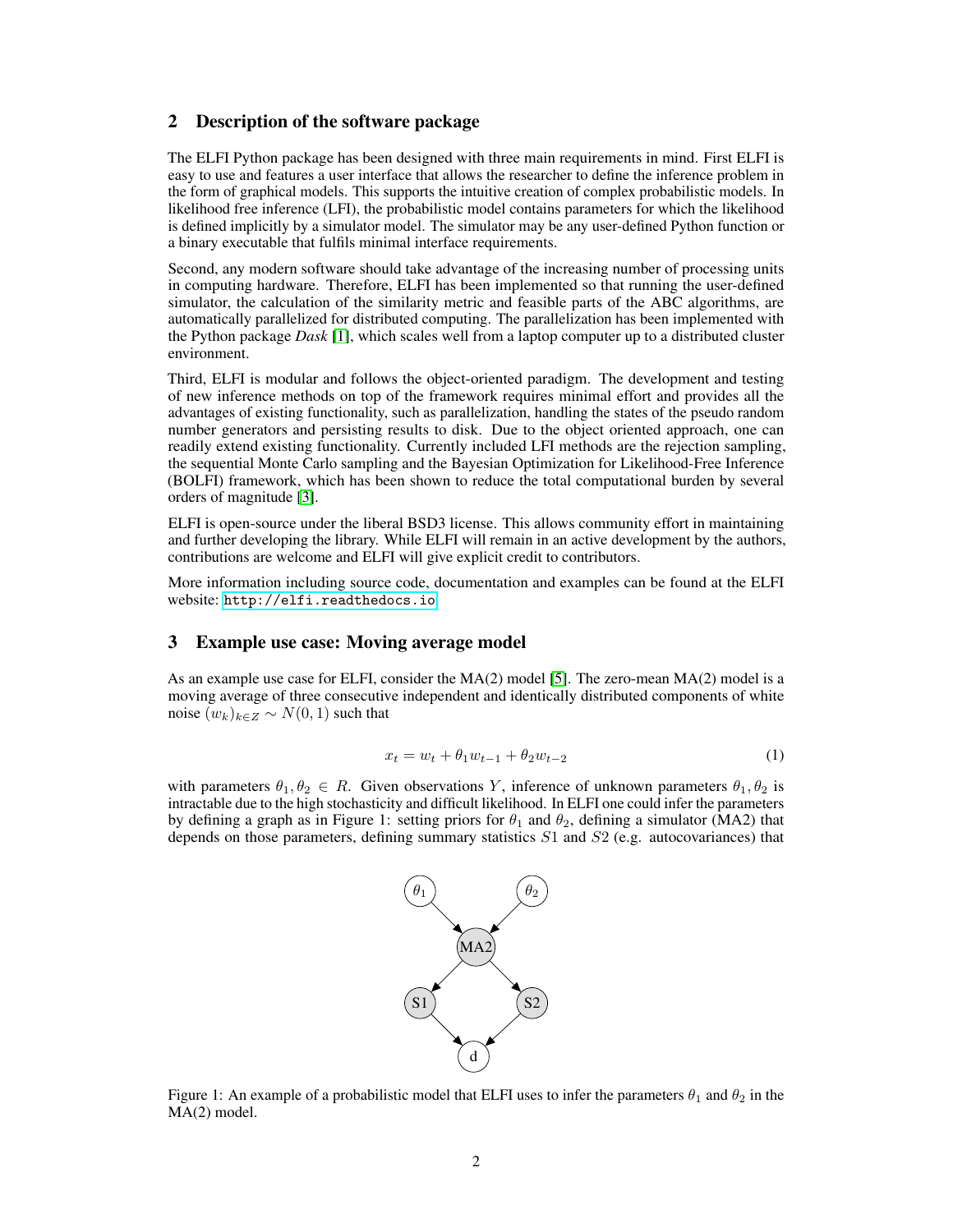## 2 Description of the software package

The ELFI Python package has been designed with three main requirements in mind. First ELFI is easy to use and features a user interface that allows the researcher to define the inference problem in the form of graphical models. This supports the intuitive creation of complex probabilistic models. In likelihood free inference (LFI), the probabilistic model contains parameters for which the likelihood is defined implicitly by a simulator model. The simulator may be any user-defined Python function or a binary executable that fulfils minimal interface requirements.

Second, any modern software should take advantage of the increasing number of processing units in computing hardware. Therefore, ELFI has been implemented so that running the user-defined simulator, the calculation of the similarity metric and feasible parts of the ABC algorithms, are automatically parallelized for distributed computing. The parallelization has been implemented with the Python package *Dask* [\[1\]](#page-2-3), which scales well from a laptop computer up to a distributed cluster environment.

Third, ELFI is modular and follows the object-oriented paradigm. The development and testing of new inference methods on top of the framework requires minimal effort and provides all the advantages of existing functionality, such as parallelization, handling the states of the pseudo random number generators and persisting results to disk. Due to the object oriented approach, one can readily extend existing functionality. Currently included LFI methods are the rejection sampling, the sequential Monte Carlo sampling and the Bayesian Optimization for Likelihood-Free Inference (BOLFI) framework, which has been shown to reduce the total computational burden by several orders of magnitude [\[3\]](#page-2-4).

ELFI is open-source under the liberal BSD3 license. This allows community effort in maintaining and further developing the library. While ELFI will remain in an active development by the authors, contributions are welcome and ELFI will give explicit credit to contributors.

More information including source code, documentation and examples can be found at the ELFI website: <http://elfi.readthedocs.io>.

#### 3 Example use case: Moving average model

As an example use case for ELFI, consider the MA(2) model [\[5\]](#page-2-1). The zero-mean MA(2) model is a moving average of three consecutive independent and identically distributed components of white noise  $(w_k)_{k \in \mathbb{Z}} \sim N(0, 1)$  such that

$$
x_t = w_t + \theta_1 w_{t-1} + \theta_2 w_{t-2} \tag{1}
$$

with parameters  $\theta_1, \theta_2 \in R$ . Given observations Y, inference of unknown parameters  $\theta_1, \theta_2$  is intractable due to the high stochasticity and difficult likelihood. In ELFI one could infer the parameters by defining a graph as in Figure 1: setting priors for  $\theta_1$  and  $\theta_2$ , defining a simulator (MA2) that depends on those parameters, defining summary statistics  $S1$  and  $S2$  (e.g. autocovariances) that



Figure 1: An example of a probabilistic model that ELFI uses to infer the parameters  $\theta_1$  and  $\theta_2$  in the MA(2) model.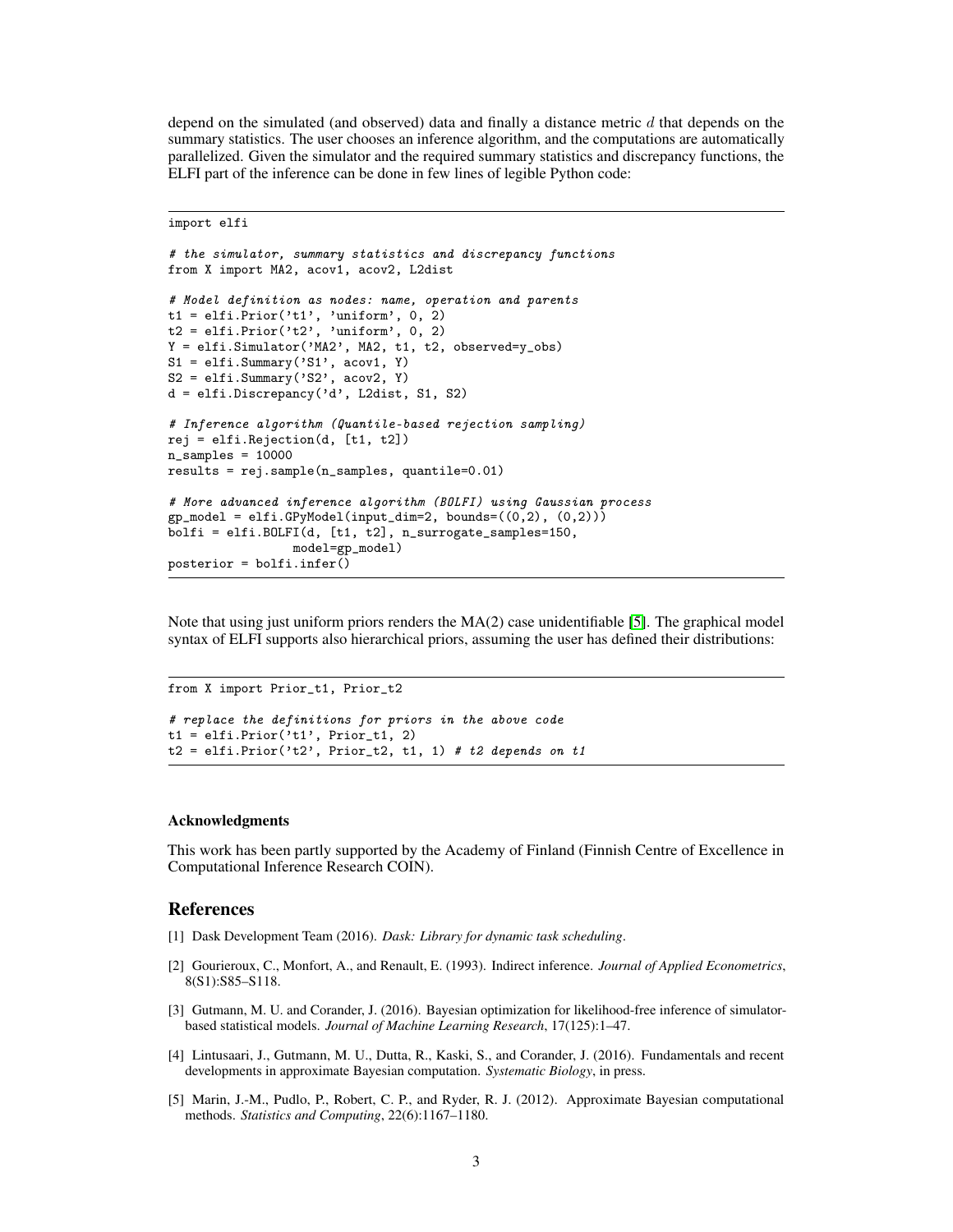depend on the simulated (and observed) data and finally a distance metric  $d$  that depends on the summary statistics. The user chooses an inference algorithm, and the computations are automatically parallelized. Given the simulator and the required summary statistics and discrepancy functions, the ELFI part of the inference can be done in few lines of legible Python code:

import elfi

```
# the simulator, summary statistics and discrepancy functions
from X import MA2, acov1, acov2, L2dist
# Model definition as nodes: name, operation and parents
t1 = elfi. Prior('t1', 'uniform', 0, 2)t2 = elfi. Prior('t2', 'uniform', 0, 2)
Y = elfi.Simulator('MA2', MA2, t1, t2, observed=y_obs)
S1 = elfi. Summary ('S1', acov1, Y)
S2 = elfi. Summary('S2', acov2, Y)
d = elfi.Discrepancy('d', L2dist, S1, S2)
# Inference algorithm (Quantile-based rejection sampling)
rej = elfi.Rejection(d, [t1, t2])
n_samples = 10000
results = rej.sample(n_samples, quantile=0.01)
# More advanced inference algorithm (BOLFI) using Gaussian process
gp_model = elif.GPyModel(input_dim=2, bounds=((0,2), (0,2)))bolfi = elfi.BOLFI(d, [t1, t2], n_surrogate_samples=150,
                 model=gp_model)
posterior = bolfi.infer()
```
Note that using just uniform priors renders the MA(2) case unidentifiable [\[5\]](#page-2-1). The graphical model syntax of ELFI supports also hierarchical priors, assuming the user has defined their distributions:

```
from X import Prior_t1, Prior_t2
# replace the definitions for priors in the above code
t1 = elfi. Prior('t1', Prior_t1, 2)
t2 = elfi. Prior('t2', Prior_t2, t1, 1) # t2 depends on t1
```
#### Acknowledgments

This work has been partly supported by the Academy of Finland (Finnish Centre of Excellence in Computational Inference Research COIN).

#### References

- <span id="page-2-3"></span>[1] Dask Development Team (2016). *Dask: Library for dynamic task scheduling*.
- <span id="page-2-0"></span>[2] Gourieroux, C., Monfort, A., and Renault, E. (1993). Indirect inference. *Journal of Applied Econometrics*, 8(S1):S85–S118.
- <span id="page-2-4"></span>[3] Gutmann, M. U. and Corander, J. (2016). Bayesian optimization for likelihood-free inference of simulatorbased statistical models. *Journal of Machine Learning Research*, 17(125):1–47.
- <span id="page-2-2"></span>[4] Lintusaari, J., Gutmann, M. U., Dutta, R., Kaski, S., and Corander, J. (2016). Fundamentals and recent developments in approximate Bayesian computation. *Systematic Biology*, in press.
- <span id="page-2-1"></span>[5] Marin, J.-M., Pudlo, P., Robert, C. P., and Ryder, R. J. (2012). Approximate Bayesian computational methods. *Statistics and Computing*, 22(6):1167–1180.